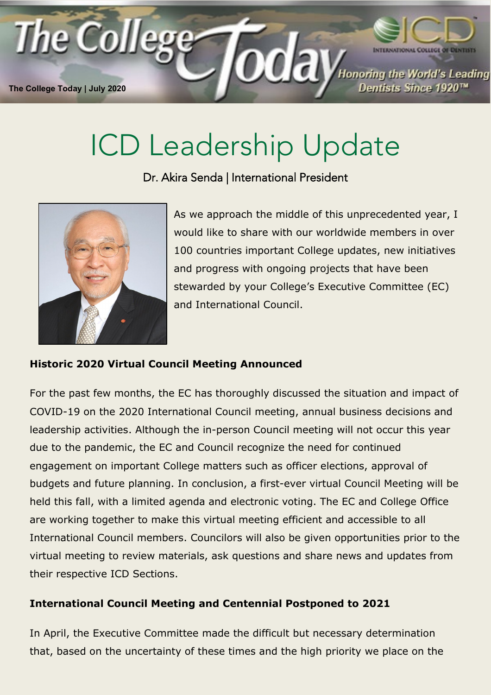

## ICD Leadership Update

Dr. Akira Senda | International President



As we approach the middle of this unprecedented year, I would like to share with our worldwide members in over 100 countries important College updates, new initiatives and progress with ongoing projects that have been stewarded by your College's Executive Committee (EC) and International Council.

## **Historic 2020 Virtual Council Meeting Announced**

For the past few months, the EC has thoroughly discussed the situation and impact of COVID-19 on the 2020 International Council meeting, annual business decisions and leadership activities. Although the in-person Council meeting will not occur this year due to the pandemic, the EC and Council recognize the need for continued engagement on important College matters such as officer elections, approval of budgets and future planning. In conclusion, a first-ever virtual Council Meeting will be held this fall, with a limited agenda and electronic voting. The EC and College Office are working together to make this virtual meeting efficient and accessible to all International Council members. Councilors will also be given opportunities prior to the virtual meeting to review materials, ask questions and share news and updates from their respective ICD Sections.

## **International Council Meeting and Centennial Postponed to 2021**

In April, the Executive Committee made the difficult but necessary determination that, based on the uncertainty of these times and the high priority we place on the